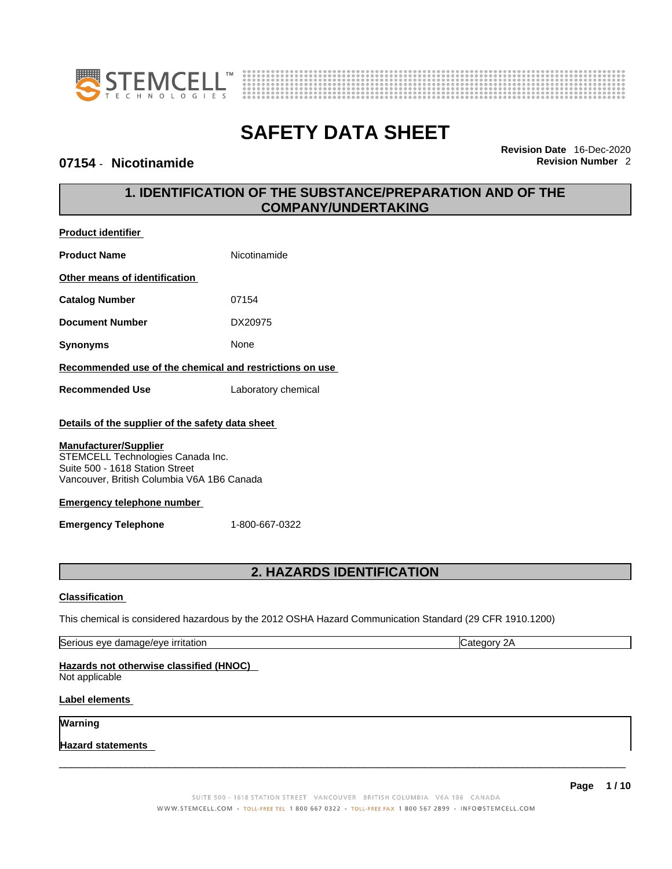



### **07154 • Nicotinamide Revision Number 2 Revision Number 2**

**Product identifier**

**Revision Date** 16-Dec-2020

# **1. IDENTIFICATION OF THE SUBSTANCE/PREPARATION AND OF THE COMPANY/UNDERTAKING**

| <b>Product Name</b>                                                                                                                                | Nicotinamide                     |                                                                                                         |
|----------------------------------------------------------------------------------------------------------------------------------------------------|----------------------------------|---------------------------------------------------------------------------------------------------------|
| Other means of identification                                                                                                                      |                                  |                                                                                                         |
| <b>Catalog Number</b>                                                                                                                              | 07154                            |                                                                                                         |
| <b>Document Number</b>                                                                                                                             | DX20975                          |                                                                                                         |
| <b>Synonyms</b>                                                                                                                                    | None                             |                                                                                                         |
| Recommended use of the chemical and restrictions on use                                                                                            |                                  |                                                                                                         |
| <b>Recommended Use</b>                                                                                                                             | Laboratory chemical              |                                                                                                         |
| Details of the supplier of the safety data sheet                                                                                                   |                                  |                                                                                                         |
| <b>Manufacturer/Supplier</b><br>STEMCELL Technologies Canada Inc.<br>Suite 500 - 1618 Station Street<br>Vancouver, British Columbia V6A 1B6 Canada |                                  |                                                                                                         |
| <b>Emergency telephone number</b>                                                                                                                  |                                  |                                                                                                         |
| <b>Emergency Telephone</b>                                                                                                                         | 1-800-667-0322                   |                                                                                                         |
|                                                                                                                                                    | <b>2. HAZARDS IDENTIFICATION</b> |                                                                                                         |
| <b>Classification</b>                                                                                                                              |                                  |                                                                                                         |
|                                                                                                                                                    |                                  | This chemical is considered hazardous by the 2012 OSHA Hazard Communication Standard (29 CFR 1910.1200) |
| Serious eye damage/eye irritation                                                                                                                  |                                  | Category 2A                                                                                             |
| Hazards not otherwise classified (HNOC)<br>Not applicable                                                                                          |                                  |                                                                                                         |

### **Label elements**

**Warning** 

**Hazard statements** 

 $\_$  ,  $\_$  ,  $\_$  ,  $\_$  ,  $\_$  ,  $\_$  ,  $\_$  ,  $\_$  ,  $\_$  ,  $\_$  ,  $\_$  ,  $\_$  ,  $\_$  ,  $\_$  ,  $\_$  ,  $\_$  ,  $\_$  ,  $\_$  ,  $\_$  ,  $\_$  ,  $\_$  ,  $\_$  ,  $\_$  ,  $\_$  ,  $\_$  ,  $\_$  ,  $\_$  ,  $\_$  ,  $\_$  ,  $\_$  ,  $\_$  ,  $\_$  ,  $\_$  ,  $\_$  ,  $\_$  ,  $\_$  ,  $\_$  ,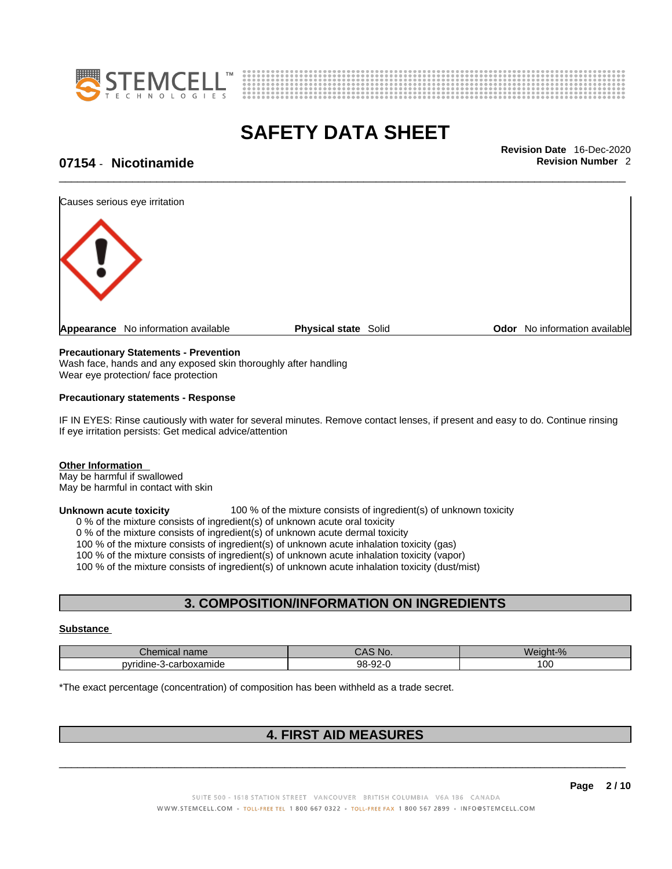



\_\_\_\_\_\_\_\_\_\_\_\_\_\_\_\_\_\_\_\_\_\_\_\_\_\_\_\_\_\_\_\_\_\_\_\_\_\_\_\_\_\_\_\_\_\_\_\_\_\_\_\_\_\_\_\_\_\_\_\_\_\_\_\_\_\_\_\_\_\_\_\_\_\_\_\_\_\_\_\_\_\_\_\_\_\_\_\_\_\_\_\_\_ **Revision Date** 16-Dec-2020

# **07154 • Nicotinamide** <br>**Revision Number 2**



### **Precautionary Statements - Prevention**

Wash face, hands and any exposed skin thoroughly after handling Wear eye protection/ face protection

### **Precautionary statements - Response**

IF IN EYES: Rinse cautiously with water for several minutes. Remove contact lenses, if present and easy to do. Continue rinsing If eye irritation persists: Get medical advice/attention

### **Other Information**

May be harmful if swallowed May be harmful in contact with skin

**Unknown acute toxicity** 100 % of the mixture consists of ingredient(s) of unknown toxicity

0 % of the mixture consists of ingredient(s) of unknown acute oral toxicity

0 % of the mixture consists of ingredient(s) of unknown acute dermal toxicity

100 % of the mixture consists of ingredient(s) of unknown acute inhalation toxicity (gas)

100 % of the mixture consists of ingredient(s) of unknown acute inhalation toxicity (vapor)

100 % of the mixture consists of ingredient(s) of unknown acute inhalation toxicity (dust/mist)

### **3. COMPOSITION/INFORMATION ON INGREDIENTS**

#### **Substance**

| <b>Dhou</b><br>hemical name<br>- - -   | No.                      | Wei<br>$\Omega$<br>ant |
|----------------------------------------|--------------------------|------------------------|
| $\mathbf{m}$<br>-carboxamide<br>rıdıne | $\sim$<br>QQ<br>−ບ∠<br>৴ | 00                     |

\*The exact percentage (concentration) of composition has been withheld as a trade secret.

## **4. FIRST AID MEASURES**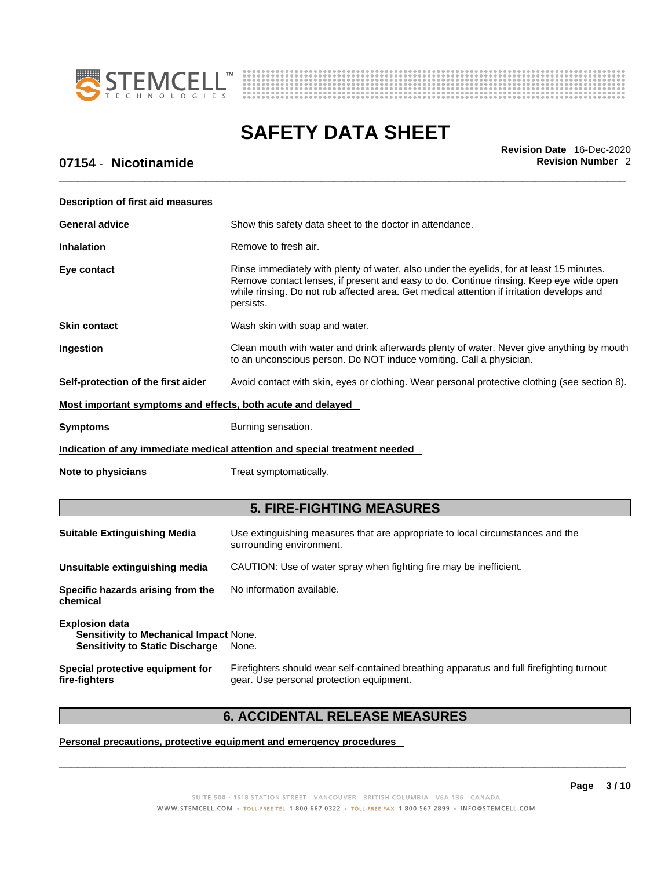



\_\_\_\_\_\_\_\_\_\_\_\_\_\_\_\_\_\_\_\_\_\_\_\_\_\_\_\_\_\_\_\_\_\_\_\_\_\_\_\_\_\_\_\_\_\_\_\_\_\_\_\_\_\_\_\_\_\_\_\_\_\_\_\_\_\_\_\_\_\_\_\_\_\_\_\_\_\_\_\_\_\_\_\_\_\_\_\_\_\_\_\_\_ **Revision Date** 16-Dec-2020

# **07154 • Nicotinamide Revision Number 2 Revision Number 2**

| <b>Description of first aid measures</b>                                                                                                                                                                                                                                                                    |                                                                                                            |  |  |
|-------------------------------------------------------------------------------------------------------------------------------------------------------------------------------------------------------------------------------------------------------------------------------------------------------------|------------------------------------------------------------------------------------------------------------|--|--|
| <b>General advice</b><br>Show this safety data sheet to the doctor in attendance.                                                                                                                                                                                                                           |                                                                                                            |  |  |
| <b>Inhalation</b><br>Remove to fresh air.                                                                                                                                                                                                                                                                   |                                                                                                            |  |  |
| Eye contact<br>Rinse immediately with plenty of water, also under the eyelids, for at least 15 minutes.<br>Remove contact lenses, if present and easy to do. Continue rinsing. Keep eye wide open<br>while rinsing. Do not rub affected area. Get medical attention if irritation develops and<br>persists. |                                                                                                            |  |  |
| Skin contact                                                                                                                                                                                                                                                                                                | Wash skin with soap and water.                                                                             |  |  |
| Ingestion<br>Clean mouth with water and drink afterwards plenty of water. Never give anything by mouth<br>to an unconscious person. Do NOT induce vomiting. Call a physician.                                                                                                                               |                                                                                                            |  |  |
| Self-protection of the first aider                                                                                                                                                                                                                                                                          | Avoid contact with skin, eyes or clothing. Wear personal protective clothing (see section 8).              |  |  |
| Most important symptoms and effects, both acute and delayed                                                                                                                                                                                                                                                 |                                                                                                            |  |  |
| <b>Symptoms</b><br>Burning sensation.                                                                                                                                                                                                                                                                       |                                                                                                            |  |  |
|                                                                                                                                                                                                                                                                                                             | Indication of any immediate medical attention and special treatment needed                                 |  |  |
| Note to physicians                                                                                                                                                                                                                                                                                          | Treat symptomatically.                                                                                     |  |  |
|                                                                                                                                                                                                                                                                                                             | <b>5. FIRE-FIGHTING MEASURES</b>                                                                           |  |  |
| <b>Suitable Extinguishing Media</b>                                                                                                                                                                                                                                                                         | Use extinguishing measures that are appropriate to local circumstances and the<br>surrounding environment. |  |  |
| Unsuitable extinguishing media<br>CAUTION: Use of water spray when fighting fire may be inefficient.                                                                                                                                                                                                        |                                                                                                            |  |  |
| No information available.<br>Specific hazards arising from the<br>chemical                                                                                                                                                                                                                                  |                                                                                                            |  |  |
| <b>Explosion data</b><br>Sensitivity to Mechanical Impact None.<br><b>Sensitivity to Static Discharge</b>                                                                                                                                                                                                   | None.                                                                                                      |  |  |
| Firefighters should wear self-contained breathing apparatus and full firefighting turnout<br>Special protective equipment for<br>gear. Use personal protection equipment.<br>fire-fighters                                                                                                                  |                                                                                                            |  |  |

# **6. ACCIDENTAL RELEASE MEASURES**

### **Personal precautions, protective equipment and emergency procedures**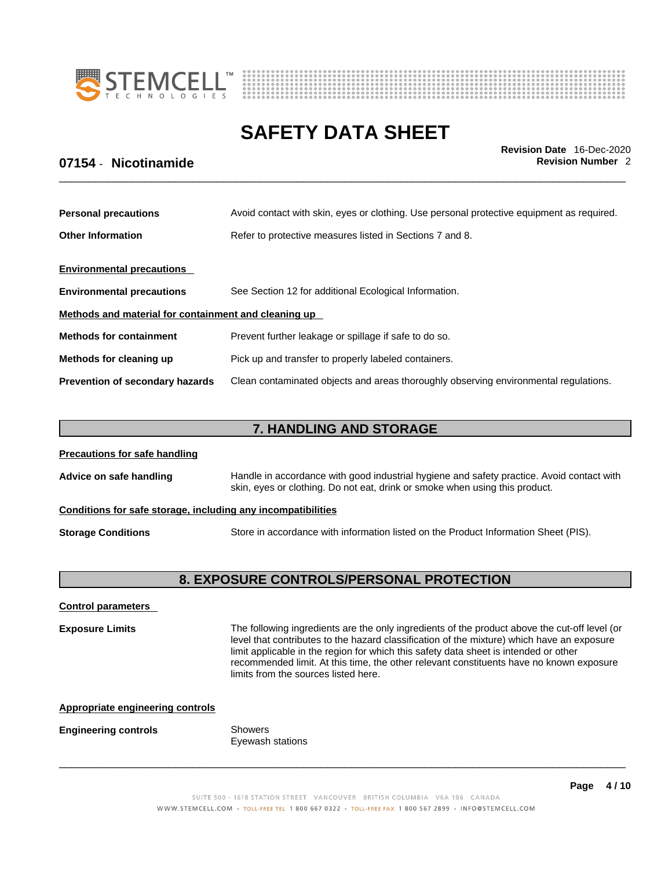



\_\_\_\_\_\_\_\_\_\_\_\_\_\_\_\_\_\_\_\_\_\_\_\_\_\_\_\_\_\_\_\_\_\_\_\_\_\_\_\_\_\_\_\_\_\_\_\_\_\_\_\_\_\_\_\_\_\_\_\_\_\_\_\_\_\_\_\_\_\_\_\_\_\_\_\_\_\_\_\_\_\_\_\_\_\_\_\_\_\_\_\_\_ **Revision Date** 16-Dec-2020

# **07154 • Nicotinamide Revision Number 2 Revision Number 2**

| <b>Personal precautions</b>                          | Avoid contact with skin, eyes or clothing. Use personal protective equipment as required. |  |
|------------------------------------------------------|-------------------------------------------------------------------------------------------|--|
| <b>Other Information</b>                             | Refer to protective measures listed in Sections 7 and 8.                                  |  |
| <b>Environmental precautions</b>                     |                                                                                           |  |
| <b>Environmental precautions</b>                     | See Section 12 for additional Ecological Information.                                     |  |
| Methods and material for containment and cleaning up |                                                                                           |  |
| <b>Methods for containment</b>                       | Prevent further leakage or spillage if safe to do so.                                     |  |
| Methods for cleaning up                              | Pick up and transfer to properly labeled containers.                                      |  |
| <b>Prevention of secondary hazards</b>               | Clean contaminated objects and areas thoroughly observing environmental regulations.      |  |

# **7. HANDLING AND STORAGE**

| <b>Precautions for safe handling</b>                                                                             |                                                                                                                                                                          |  |  |  |
|------------------------------------------------------------------------------------------------------------------|--------------------------------------------------------------------------------------------------------------------------------------------------------------------------|--|--|--|
| Advice on safe handling                                                                                          | Handle in accordance with good industrial hygiene and safety practice. Avoid contact with<br>skin, eyes or clothing. Do not eat, drink or smoke when using this product. |  |  |  |
| Conditions for safe storage, including any incompatibilities                                                     |                                                                                                                                                                          |  |  |  |
| Store in accordance with information listed on the Product Information Sheet (PIS).<br><b>Storage Conditions</b> |                                                                                                                                                                          |  |  |  |

# **8. EXPOSURE CONTROLS/PERSONAL PROTECTION**

### **Control parameters**

**Exposure Limits** The following ingredients are the only ingredients of the product above the cut-off level (or level that contributes to the hazard classification of the mixture) which have an exposure limit applicable in the region for which this safety data sheet is intended or other recommended limit. At this time, the other relevant constituents have no known exposure limits from the sources listed here.

| <b>Appropriate engineering controls</b> |                             |
|-----------------------------------------|-----------------------------|
| <b>Engineering controls</b>             | Showers<br>Eyewash stations |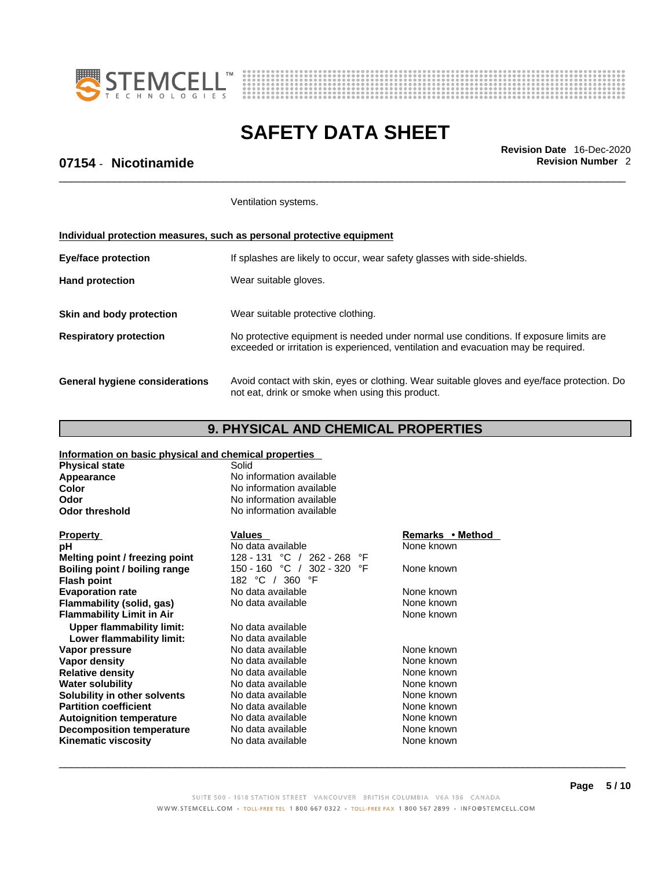



\_\_\_\_\_\_\_\_\_\_\_\_\_\_\_\_\_\_\_\_\_\_\_\_\_\_\_\_\_\_\_\_\_\_\_\_\_\_\_\_\_\_\_\_\_\_\_\_\_\_\_\_\_\_\_\_\_\_\_\_\_\_\_\_\_\_\_\_\_\_\_\_\_\_\_\_\_\_\_\_\_\_\_\_\_\_\_\_\_\_\_\_\_ **Revision Date** 16-Dec-2020

# **07154 • Nicotinamide Revision Number 2 Revision Number 2**

Ventilation systems.

### **Individual protection measures, such as personal protective equipment**

| <b>Eye/face protection</b>     | If splashes are likely to occur, wear safety glasses with side-shields.                                                                                                     |  |
|--------------------------------|-----------------------------------------------------------------------------------------------------------------------------------------------------------------------------|--|
| <b>Hand protection</b>         | Wear suitable gloves.                                                                                                                                                       |  |
| Skin and body protection       | Wear suitable protective clothing.                                                                                                                                          |  |
| <b>Respiratory protection</b>  | No protective equipment is needed under normal use conditions. If exposure limits are<br>exceeded or irritation is experienced, ventilation and evacuation may be required. |  |
| General hygiene considerations | Avoid contact with skin, eyes or clothing. Wear suitable gloves and eye/face protection. Do<br>not eat, drink or smoke when using this product.                             |  |

# **9. PHYSICAL AND CHEMICAL PROPERTIES**

### **Information on basic physical and chemical properties**

| <b>Physical state</b>            | Solid                          |                  |
|----------------------------------|--------------------------------|------------------|
| Appearance                       | No information available       |                  |
| Color                            | No information available       |                  |
| Odor                             | No information available       |                  |
| <b>Odor threshold</b>            | No information available       |                  |
| <b>Property</b>                  | <b>Values</b>                  | Remarks • Method |
| рH                               | No data available              | None known       |
| Melting point / freezing point   | 128 - 131 °C / 262 - 268<br>°F |                  |
| Boiling point / boiling range    | 150 - 160 °C / 302 - 320<br>°F | None known       |
| <b>Flash point</b>               | 182 °C /<br>360 °F             |                  |
| <b>Evaporation rate</b>          | No data available              | None known       |
| Flammability (solid, gas)        | No data available              | None known       |
| <b>Flammability Limit in Air</b> |                                | None known       |
| <b>Upper flammability limit:</b> | No data available              |                  |
| Lower flammability limit:        | No data available              |                  |
| Vapor pressure                   | No data available              | None known       |
| Vapor density                    | No data available              | None known       |
| <b>Relative density</b>          | No data available              | None known       |
| <b>Water solubility</b>          | No data available              | None known       |
| Solubility in other solvents     | No data available              | None known       |
| <b>Partition coefficient</b>     | No data available              | None known       |
| <b>Autoignition temperature</b>  | No data available              | None known       |
| <b>Decomposition temperature</b> | No data available              | None known       |
| <b>Kinematic viscosity</b>       | No data available              | None known       |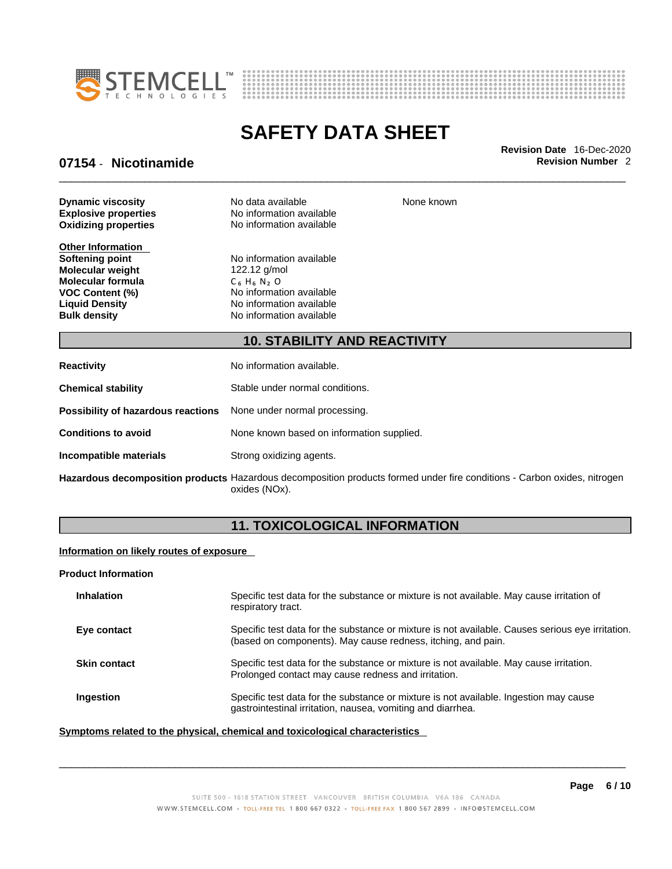



None known

# **SAFETY DATA SHEET**

\_\_\_\_\_\_\_\_\_\_\_\_\_\_\_\_\_\_\_\_\_\_\_\_\_\_\_\_\_\_\_\_\_\_\_\_\_\_\_\_\_\_\_\_\_\_\_\_\_\_\_\_\_\_\_\_\_\_\_\_\_\_\_\_\_\_\_\_\_\_\_\_\_\_\_\_\_\_\_\_\_\_\_\_\_\_\_\_\_\_\_\_\_ **Revision Date** 16-Dec-2020

### **07154 • Nicotinamide Revision Number 2 Revision Number 2**

**Oxidizing properties Dynamic viscosity** No data available

**Other Information**<br>Softening point **Molecular weight** 122.12 g/mol **Molecular formula** C<sub>6</sub> H<sub>6</sub> N<sub>2</sub> O

**Explosive properties**<br> **Oxidizing properties**<br>
No information available

**No information available VOC Content (%)** No information available **Liquid Density**  $\overrightarrow{a}$  No information available **Bulk density No information available** 

### **10. STABILITY AND REACTIVITY**

| <b>Reactivity</b>                                                       | No information available.                 |
|-------------------------------------------------------------------------|-------------------------------------------|
| <b>Chemical stability</b>                                               | Stable under normal conditions.           |
| <b>Possibility of hazardous reactions</b> None under normal processing. |                                           |
| <b>Conditions to avoid</b>                                              | None known based on information supplied. |
| Incompatible materials                                                  | Strong oxidizing agents.                  |
|                                                                         |                                           |

**Hazardous decomposition products** Hazardous decomposition products formed under fire conditions - Carbon oxides, nitrogen oxides (NOx).

# **11. TOXICOLOGICAL INFORMATION**

### **Information on likely routes of exposure**

#### **Product Information**

| <b>Inhalation</b>   | Specific test data for the substance or mixture is not available. May cause irritation of<br>respiratory tract.                                                  |
|---------------------|------------------------------------------------------------------------------------------------------------------------------------------------------------------|
| Eye contact         | Specific test data for the substance or mixture is not available. Causes serious eye irritation.<br>(based on components). May cause redness, itching, and pain. |
| <b>Skin contact</b> | Specific test data for the substance or mixture is not available. May cause irritation.<br>Prolonged contact may cause redness and irritation.                   |
| Ingestion           | Specific test data for the substance or mixture is not available. Ingestion may cause<br>gastrointestinal irritation, nausea, vomiting and diarrhea.             |

### **<u>Symptoms related to the physical, chemical and toxicological characteristics</u>**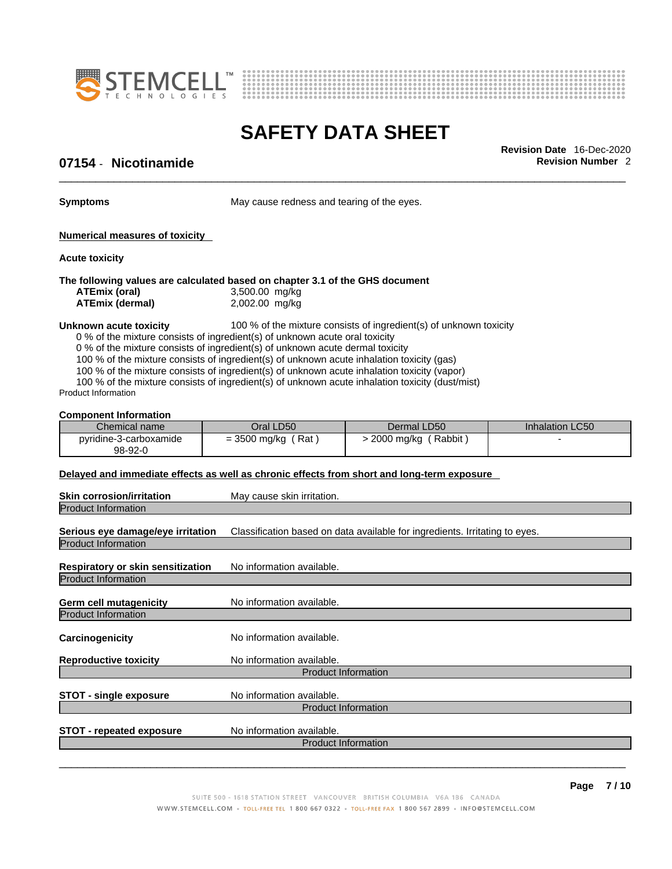



\_\_\_\_\_\_\_\_\_\_\_\_\_\_\_\_\_\_\_\_\_\_\_\_\_\_\_\_\_\_\_\_\_\_\_\_\_\_\_\_\_\_\_\_\_\_\_\_\_\_\_\_\_\_\_\_\_\_\_\_\_\_\_\_\_\_\_\_\_\_\_\_\_\_\_\_\_\_\_\_\_\_\_\_\_\_\_\_\_\_\_\_\_ **Revision Date** 16-Dec-2020

# **07154 • Nicotinamide Revision Number 2 Revision Number 2**

**Symptoms** May cause redness and tearing of the eyes.

**Numerical measures of toxicity**

**Acute toxicity**

#### **The following values are calculated based on chapter 3.1 of the GHS document**

| ATEmix (oral)   | 3,500.00 mg/kg |
|-----------------|----------------|
| ATEmix (dermal) | 2,002.00 mg/kg |

### **Unknown acute toxicity** 100 % of the mixture consists of ingredient(s) of unknown toxicity

0 % of the mixture consists of ingredient(s) of unknown acute oral toxicity

0 % of the mixture consists of ingredient(s) of unknown acute dermal toxicity

100 % of the mixture consists of ingredient(s) of unknown acute inhalation toxicity (gas)

100 % of the mixture consists of ingredient(s) of unknown acute inhalation toxicity (vapor)

100 % of the mixture consists of ingredient(s) of unknown acute inhalation toxicity (dust/mist)

Product Information

### **Component Information**

| Chemical name                     | Oral LD50             | Dermal LD50          | Inhalation LC50 |
|-----------------------------------|-----------------------|----------------------|-----------------|
| pyridine-3-carboxamide<br>98-92-0 | Rat<br>$= 3500$ mg/kg | Rabbit<br>2000 mg/kg |                 |

### **Delayed and immediate effects as well as chronic effects from short and long-term exposure**

| May cause skin irritation.                                                  |
|-----------------------------------------------------------------------------|
|                                                                             |
| Classification based on data available for ingredients. Irritating to eyes. |
|                                                                             |
| No information available.                                                   |
|                                                                             |
| No information available.                                                   |
|                                                                             |
| No information available.                                                   |
| No information available.                                                   |
| <b>Product Information</b>                                                  |
| No information available.                                                   |
| <b>Product Information</b>                                                  |
| No information available.                                                   |
| <b>Product Information</b>                                                  |
|                                                                             |
|                                                                             |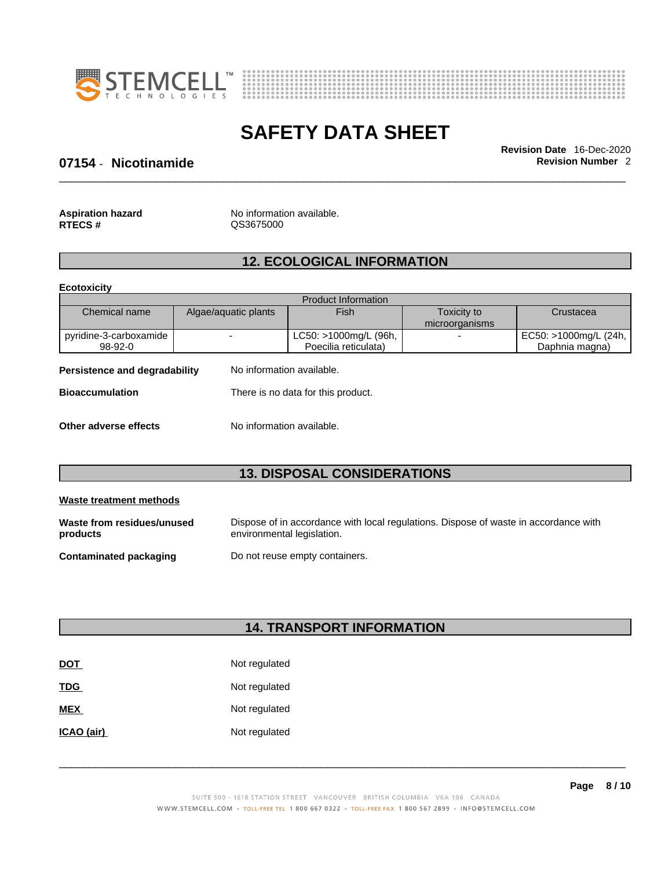



\_\_\_\_\_\_\_\_\_\_\_\_\_\_\_\_\_\_\_\_\_\_\_\_\_\_\_\_\_\_\_\_\_\_\_\_\_\_\_\_\_\_\_\_\_\_\_\_\_\_\_\_\_\_\_\_\_\_\_\_\_\_\_\_\_\_\_\_\_\_\_\_\_\_\_\_\_\_\_\_\_\_\_\_\_\_\_\_\_\_\_\_\_ **Revision Date** 16-Dec-2020

### **07154 • Nicotinamide Revision Number 2 Revision Number 2**

| <b>Aspiration hazard</b> | No information available. |
|--------------------------|---------------------------|
| <b>RTECS#</b>            | QS3675000                 |

# **12. ECOLOGICAL INFORMATION**

**Ecotoxicity** 

|                                                              |                      | <b>Product Information</b> |                |                       |
|--------------------------------------------------------------|----------------------|----------------------------|----------------|-----------------------|
| Chemical name                                                | Algae/aquatic plants | Fish                       | Toxicity to    | Crustacea             |
|                                                              |                      |                            | microorganisms |                       |
| pyridine-3-carboxamide                                       |                      | LC50: >1000mg/L (96h,      | -              | EC50: >1000mg/L (24h, |
| $98-92-0$                                                    |                      | Poecilia reticulata)       |                | Daphnia magna)        |
| Persistence and degradability<br>No information available.   |                      |                            |                |                       |
| There is no data for this product.<br><b>Bioaccumulation</b> |                      |                            |                |                       |
|                                                              |                      |                            |                |                       |

### **Other adverse effects** No information available.

# **13. DISPOSAL CONSIDERATIONS**

| Waste treatment methods                |                                                                                                                    |  |  |  |
|----------------------------------------|--------------------------------------------------------------------------------------------------------------------|--|--|--|
| Waste from residues/unused<br>products | Dispose of in accordance with local regulations. Dispose of waste in accordance with<br>environmental legislation. |  |  |  |
| <b>Contaminated packaging</b>          | Do not reuse empty containers.                                                                                     |  |  |  |

# **14. TRANSPORT INFORMATION**

| <b>DOT</b> | Not regulated |
|------------|---------------|
| <b>TDG</b> | Not regulated |
| <b>MEX</b> | Not regulated |
| ICAO (air) | Not regulated |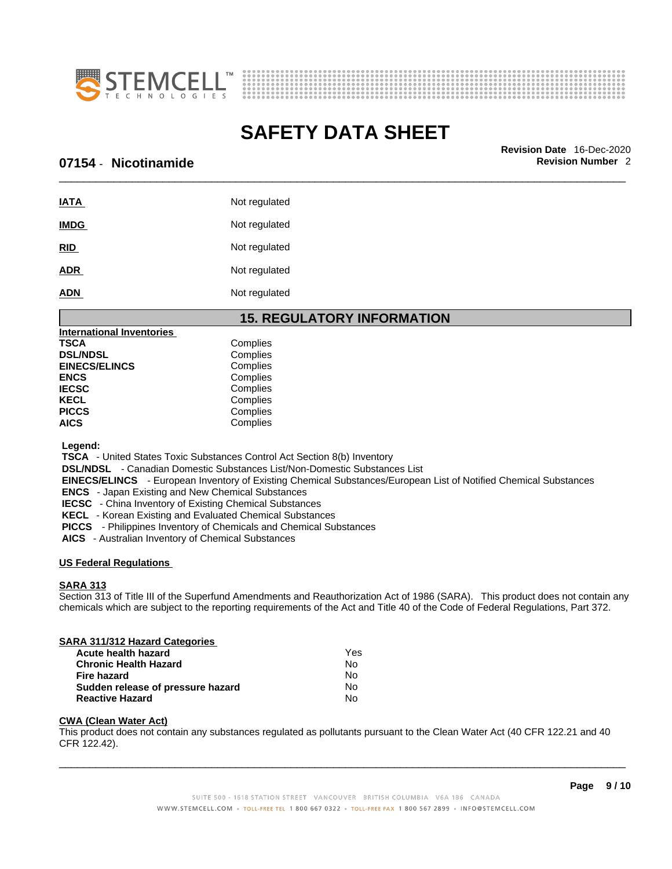



\_\_\_\_\_\_\_\_\_\_\_\_\_\_\_\_\_\_\_\_\_\_\_\_\_\_\_\_\_\_\_\_\_\_\_\_\_\_\_\_\_\_\_\_\_\_\_\_\_\_\_\_\_\_\_\_\_\_\_\_\_\_\_\_\_\_\_\_\_\_\_\_\_\_\_\_\_\_\_\_\_\_\_\_\_\_\_\_\_\_\_\_\_ **Revision Date** 16-Dec-2020

### **07154** - **Nicotinamide Revision Number** 2

| <b>IATA</b> | Not regulated |
|-------------|---------------|
| <b>IMDG</b> | Not regulated |
| <b>RID</b>  | Not regulated |
| <b>ADR</b>  | Not regulated |
| <b>ADN</b>  | Not regulated |

### **15. REGULATORY INFORMATION**

| International Inventories |          |
|---------------------------|----------|
| TSCA                      | Complies |
| <b>DSL/NDSL</b>           | Complies |
| <b>EINECS/ELINCS</b>      | Complies |
| ENCS                      | Complies |
| <b>IECSC</b>              | Complies |
| KECL                      | Complies |
| <b>PICCS</b>              | Complies |
| AICS                      | Complies |
|                           |          |

 **Legend:** 

 **TSCA** - United States Toxic Substances Control Act Section 8(b) Inventory

 **DSL/NDSL** - Canadian Domestic Substances List/Non-Domestic Substances List

 **EINECS/ELINCS** - European Inventory of Existing Chemical Substances/European List of Notified Chemical Substances

 **ENCS** - Japan Existing and New Chemical Substances

 **IECSC** - China Inventory of Existing Chemical Substances

 **KECL** - Korean Existing and Evaluated Chemical Substances

 **PICCS** - Philippines Inventory of Chemicals and Chemical Substances

 **AICS** - Australian Inventory of Chemical Substances

### **US Federal Regulations**

### **SARA 313**

Section 313 of Title III of the Superfund Amendments and Reauthorization Act of 1986 (SARA). This product does not contain any chemicals which are subject to the reporting requirements of the Act and Title 40 of the Code of Federal Regulations, Part 372.

# **SARA 311/312 Hazard Categories Acute health hazard Contract Contract Contract Pressure Chronic Health Hazard Yes Chronic Health Hazard**

| No |
|----|
| N٥ |
| N٥ |
| N٥ |
|    |

### **CWA (Clean WaterAct)**

This product does not contain any substances regulated as pollutants pursuant to the Clean Water Act (40 CFR 122.21 and 40 CFR 122.42).